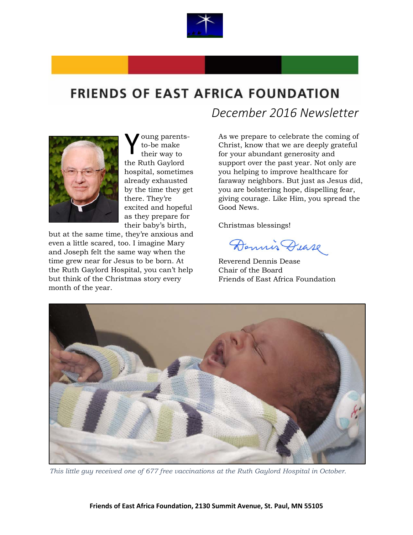

## **FRIENDS OF EAST AFRICA FOUNDATION**



oung parentsto-be make their way to the Ruth Gaylord hospital, sometimes already exhausted by the time they get there. They're excited and hopeful as they prepare for their baby's birth, Y

but at the same time, they're anxious and even a little scared, too. I imagine Mary and Joseph felt the same way when the time grew near for Jesus to be born. At the Ruth Gaylord Hospital, you can't help but think of the Christmas story every month of the year.

 *December 2016 Newsletter*

As we prepare to celebrate the coming of Christ, know that we are deeply grateful for your abundant generosity and support over the past year. Not only are you helping to improve healthcare for faraway neighbors. But just as Jesus did, you are bolstering hope, dispelling fear, giving courage. Like Him, you spread the Good News.

Christmas blessings!

Dennis Dease

Reverend Dennis Dease Chair of the Board Friends of East Africa Foundation



*This little guy received one of 677 free vaccinations at the Ruth Gaylord Hospital in October.*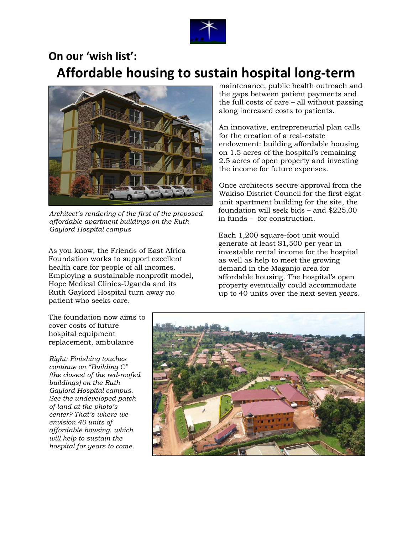

## **On our 'wish list': Affordable housing to sustain hospital long-term**



*Architect's rendering of the first of the proposed affordable apartment buildings on the Ruth Gaylord Hospital campus*

As you know, the Friends of East Africa Foundation works to support excellent health care for people of all incomes. Employing a sustainable nonprofit model, Hope Medical Clinics-Uganda and its Ruth Gaylord Hospital turn away no patient who seeks care.

maintenance, public health outreach and the gaps between patient payments and the full costs of care – all without passing along increased costs to patients.

An innovative, entrepreneurial plan calls for the creation of a real-estate endowment: building affordable housing on 1.5 acres of the hospital's remaining 2.5 acres of open property and investing the income for future expenses.

Once architects secure approval from the Wakiso District Council for the first eightunit apartment building for the site, the foundation will seek bids – and \$225,00 in funds – for construction.

Each 1,200 square-foot unit would generate at least \$1,500 per year in investable rental income for the hospital as well as help to meet the growing demand in the Maganjo area for affordable housing. The hospital's open property eventually could accommodate up to 40 units over the next seven years.

The foundation now aims to cover costs of future hospital equipment replacement, ambulance

*Right: Finishing touches continue on "Building C" (the closest of the red-roofed buildings) on the Ruth Gaylord Hospital campus. See the undeveloped patch of land at the photo's center? That's where we envision 40 units of affordable housing, which will help to sustain the hospital for years to come.* 

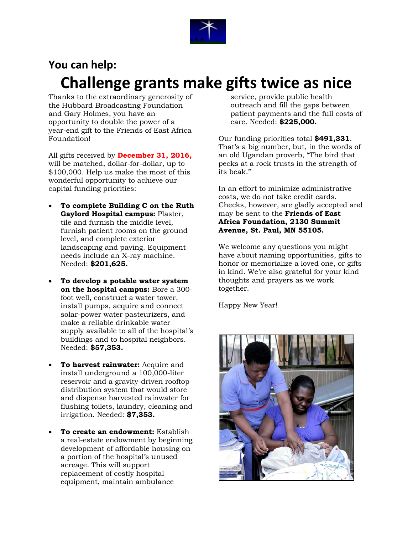

## **You can help: Challenge grants make gifts twice as nice**

Thanks to the extraordinary generosity of the Hubbard Broadcasting Foundation and Gary Holmes, you have an opportunity to double the power of a year-end gift to the Friends of East Africa Foundation!

All gifts received by **December 31, 2016,** will be matched, dollar-for-dollar, up to \$100,000. Help us make the most of this wonderful opportunity to achieve our capital funding priorities:

- **To complete Building C on the Ruth Gaylord Hospital campus:** Plaster, tile and furnish the middle level, furnish patient rooms on the ground level, and complete exterior landscaping and paving. Equipment needs include an X-ray machine. Needed: **\$201,625.**
- **To develop a potable water system on the hospital campus:** Bore a 300 foot well, construct a water tower, install pumps, acquire and connect solar-power water pasteurizers, and make a reliable drinkable water supply available to all of the hospital's buildings and to hospital neighbors. Needed: **\$57,353.**
- **To harvest rainwater:** Acquire and install underground a 100,000-liter reservoir and a gravity-driven rooftop distribution system that would store and dispense harvested rainwater for flushing toilets, laundry, cleaning and irrigation. Needed: **\$7,353.**
- **To create an endowment:** Establish a real-estate endowment by beginning development of affordable housing on a portion of the hospital's unused acreage. This will support replacement of costly hospital equipment, maintain ambulance

service, provide public health outreach and fill the gaps between patient payments and the full costs of care. Needed: **\$225,000.**

Our funding priorities total **\$491,331**. That's a big number, but, in the words of an old Ugandan proverb, "The bird that pecks at a rock trusts in the strength of its beak."

In an effort to minimize administrative costs, we do not take credit cards. Checks, however, are gladly accepted and may be sent to the **Friends of East Africa Foundation, 2130 Summit Avenue, St. Paul, MN 55105.** 

We welcome any questions you might have about naming opportunities, gifts to honor or memorialize a loved one, or gifts in kind. We're also grateful for your kind thoughts and prayers as we work together.

Happy New Year!